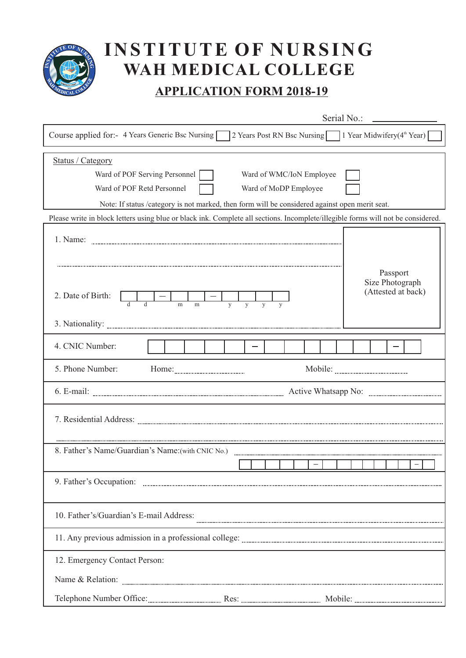

## **INSTITUTE OF NURSING WAH MEDICAL COLLEGE**

## **APPLICATION FORM 2018-19**

| Serial No.:                                                                                                                                                                                                                             |
|-----------------------------------------------------------------------------------------------------------------------------------------------------------------------------------------------------------------------------------------|
| 2 Years Post RN Bsc Nursing 1 Year Midwifery(4 <sup>th</sup> Year)<br>Course applied for:- 4 Years Generic Bsc Nursing                                                                                                                  |
| Status / Category<br>Ward of POF Serving Personnel<br>Ward of WMC/IoN Employee<br>Ward of POF Retd Personnel<br>Ward of MoDP Employee<br>Note: If status /category is not marked, then form will be considered against open merit seat. |
| Please write in block letters using blue or black ink. Complete all sections. Incomplete/illegible forms will not be considered.                                                                                                        |
| Passport<br>Size Photograph<br>(Attested at back)<br>2. Date of Birth:                                                                                                                                                                  |
| m<br>m                                                                                                                                                                                                                                  |
| 4. CNIC Number:                                                                                                                                                                                                                         |
| 5. Phone Number:                                                                                                                                                                                                                        |
|                                                                                                                                                                                                                                         |
|                                                                                                                                                                                                                                         |
| 8. Father's Name/Guardian's Name: (with CNIC No.)                                                                                                                                                                                       |
|                                                                                                                                                                                                                                         |
| 9. Father's Occupation:                                                                                                                                                                                                                 |
| 10. Father's/Guardian's E-mail Address:                                                                                                                                                                                                 |
|                                                                                                                                                                                                                                         |
| 12. Emergency Contact Person:                                                                                                                                                                                                           |
|                                                                                                                                                                                                                                         |
|                                                                                                                                                                                                                                         |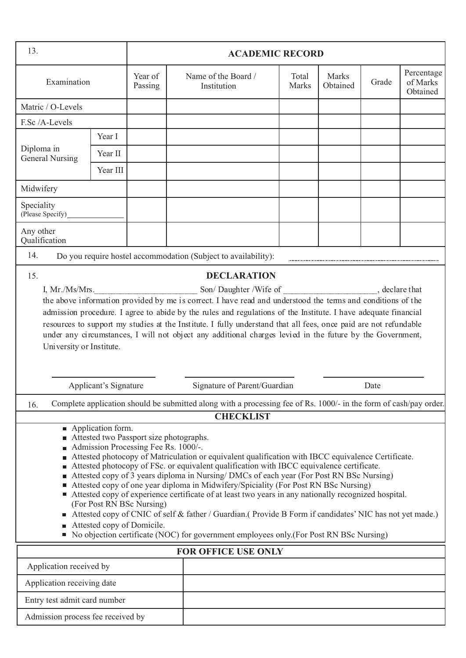| 13.                                  | <b>ACADEMIC RECORD</b>           |                                                                                                                                            |                                                                                                                                                                                                                                                                                                                                                                                                                                                                                                                                                                                                                                                                                                  |                |                   |       |                                    |
|--------------------------------------|----------------------------------|--------------------------------------------------------------------------------------------------------------------------------------------|--------------------------------------------------------------------------------------------------------------------------------------------------------------------------------------------------------------------------------------------------------------------------------------------------------------------------------------------------------------------------------------------------------------------------------------------------------------------------------------------------------------------------------------------------------------------------------------------------------------------------------------------------------------------------------------------------|----------------|-------------------|-------|------------------------------------|
| Examination                          |                                  | Year of<br>Passing                                                                                                                         | Name of the Board /<br>Institution                                                                                                                                                                                                                                                                                                                                                                                                                                                                                                                                                                                                                                                               | Total<br>Marks | Marks<br>Obtained | Grade | Percentage<br>of Marks<br>Obtained |
| Matric / O-Levels                    |                                  |                                                                                                                                            |                                                                                                                                                                                                                                                                                                                                                                                                                                                                                                                                                                                                                                                                                                  |                |                   |       |                                    |
| F.Sc /A-Levels                       |                                  |                                                                                                                                            |                                                                                                                                                                                                                                                                                                                                                                                                                                                                                                                                                                                                                                                                                                  |                |                   |       |                                    |
|                                      | Year I                           |                                                                                                                                            |                                                                                                                                                                                                                                                                                                                                                                                                                                                                                                                                                                                                                                                                                                  |                |                   |       |                                    |
| Diploma in<br><b>General Nursing</b> | Year II                          |                                                                                                                                            |                                                                                                                                                                                                                                                                                                                                                                                                                                                                                                                                                                                                                                                                                                  |                |                   |       |                                    |
|                                      | Year III                         |                                                                                                                                            |                                                                                                                                                                                                                                                                                                                                                                                                                                                                                                                                                                                                                                                                                                  |                |                   |       |                                    |
| Midwifery                            |                                  |                                                                                                                                            |                                                                                                                                                                                                                                                                                                                                                                                                                                                                                                                                                                                                                                                                                                  |                |                   |       |                                    |
| Speciality<br>(Please Specify)       |                                  |                                                                                                                                            |                                                                                                                                                                                                                                                                                                                                                                                                                                                                                                                                                                                                                                                                                                  |                |                   |       |                                    |
| Any other<br>Qualification           |                                  |                                                                                                                                            |                                                                                                                                                                                                                                                                                                                                                                                                                                                                                                                                                                                                                                                                                                  |                |                   |       |                                    |
| 14.                                  |                                  |                                                                                                                                            | Do you require hostel accommodation (Subject to availability):                                                                                                                                                                                                                                                                                                                                                                                                                                                                                                                                                                                                                                   |                |                   |       |                                    |
| 15.                                  |                                  |                                                                                                                                            | <b>DECLARATION</b>                                                                                                                                                                                                                                                                                                                                                                                                                                                                                                                                                                                                                                                                               |                |                   |       |                                    |
| University or Institute.             | Applicant's Signature            |                                                                                                                                            | resources to support my studies at the Institute. I fully understand that all fees, once paid are not refundable<br>under any circumstances, I will not object any additional charges levied in the future by the Government,<br>Signature of Parent/Guardian<br>Complete application should be submitted along with a processing fee of Rs. 1000/- in the form of cash/pay order.                                                                                                                                                                                                                                                                                                               |                |                   | Date  |                                    |
| 16.                                  |                                  |                                                                                                                                            | <b>CHECKLIST</b>                                                                                                                                                                                                                                                                                                                                                                                                                                                                                                                                                                                                                                                                                 |                |                   |       |                                    |
|                                      | $\blacksquare$ Application form. | Attested two Passport size photographs.<br>Admission Processing Fee Rs. 1000/-.<br>(For Post RN BSc Nursing)<br>Attested copy of Domicile. | Attested photocopy of Matriculation or equivalent qualification with IBCC equivalence Certificate.<br>Attested photocopy of FSc. or equivalent qualification with IBCC equivalence certificate.<br>Attested copy of 3 years diploma in Nursing/DMCs of each year (For Post RN BSc Nursing)<br>Attested copy of one year diploma in Midwifery/Spiciality (For Post RN BSc Nursing)<br>Attested copy of experience certificate of at least two years in any nationally recognized hospital.<br>Attested copy of CNIC of self & father / Guardian.(Provide B Form if candidates' NIC has not yet made.)<br>• No objection certificate (NOC) for government employees only (For Post RN BSc Nursing) |                |                   |       |                                    |
|                                      |                                  |                                                                                                                                            | <b>FOR OFFICE USE ONLY</b>                                                                                                                                                                                                                                                                                                                                                                                                                                                                                                                                                                                                                                                                       |                |                   |       |                                    |
| Application received by              |                                  |                                                                                                                                            |                                                                                                                                                                                                                                                                                                                                                                                                                                                                                                                                                                                                                                                                                                  |                |                   |       |                                    |
| Application receiving date           |                                  |                                                                                                                                            |                                                                                                                                                                                                                                                                                                                                                                                                                                                                                                                                                                                                                                                                                                  |                |                   |       |                                    |
| Entry test admit card number         |                                  |                                                                                                                                            |                                                                                                                                                                                                                                                                                                                                                                                                                                                                                                                                                                                                                                                                                                  |                |                   |       |                                    |
| Admission process fee received by    |                                  |                                                                                                                                            |                                                                                                                                                                                                                                                                                                                                                                                                                                                                                                                                                                                                                                                                                                  |                |                   |       |                                    |